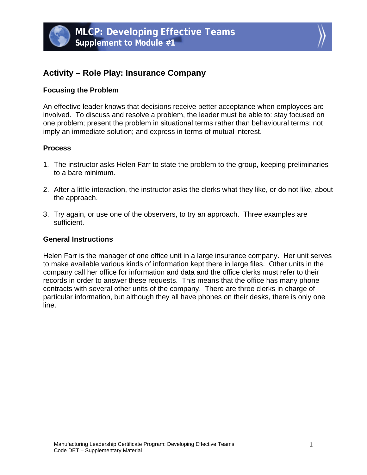



# **Activity – Role Play: Insurance Company**

### **Focusing the Problem**

An effective leader knows that decisions receive better acceptance when employees are involved. To discuss and resolve a problem, the leader must be able to: stay focused on one problem; present the problem in situational terms rather than behavioural terms; not imply an immediate solution; and express in terms of mutual interest.

# **Process**

- 1. The instructor asks Helen Farr to state the problem to the group, keeping preliminaries to a bare minimum.
- 2. After a little interaction, the instructor asks the clerks what they like, or do not like, about the approach.
- 3. Try again, or use one of the observers, to try an approach. Three examples are sufficient.

#### **General Instructions**

Helen Farr is the manager of one office unit in a large insurance company. Her unit serves to make available various kinds of information kept there in large files. Other units in the company call her office for information and data and the office clerks must refer to their records in order to answer these requests. This means that the office has many phone contracts with several other units of the company. There are three clerks in charge of particular information, but although they all have phones on their desks, there is only one line.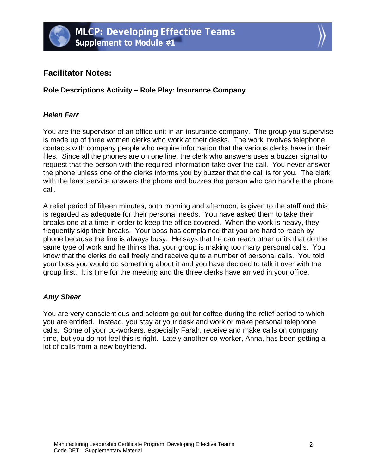



# **Facilitator Notes:**

**Role Descriptions Activity – Role Play: Insurance Company** 

### *Helen Farr*

You are the supervisor of an office unit in an insurance company. The group you supervise is made up of three women clerks who work at their desks. The work involves telephone contacts with company people who require information that the various clerks have in their files. Since all the phones are on one line, the clerk who answers uses a buzzer signal to request that the person with the required information take over the call. You never answer the phone unless one of the clerks informs you by buzzer that the call is for you. The clerk with the least service answers the phone and buzzes the person who can handle the phone call.

A relief period of fifteen minutes, both morning and afternoon, is given to the staff and this is regarded as adequate for their personal needs. You have asked them to take their breaks one at a time in order to keep the office covered. When the work is heavy, they frequently skip their breaks. Your boss has complained that you are hard to reach by phone because the line is always busy. He says that he can reach other units that do the same type of work and he thinks that your group is making too many personal calls. You know that the clerks do call freely and receive quite a number of personal calls. You told your boss you would do something about it and you have decided to talk it over with the group first. It is time for the meeting and the three clerks have arrived in your office.

#### *Amy Shear*

You are very conscientious and seldom go out for coffee during the relief period to which you are entitled. Instead, you stay at your desk and work or make personal telephone calls. Some of your co-workers, especially Farah, receive and make calls on company time, but you do not feel this is right. Lately another co-worker, Anna, has been getting a lot of calls from a new boyfriend.